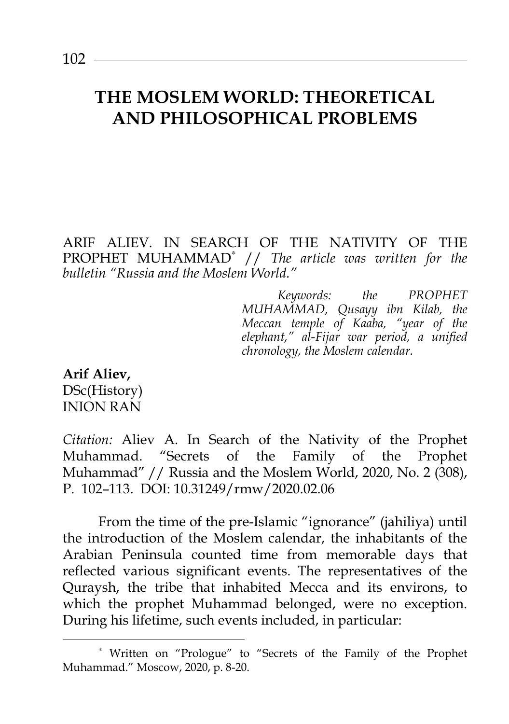ARIF ALIEV. IN SEARCH OF THE NATIVITY OF THE PROPHET MUHAMMAD<sup>∗</sup> // *The article was written for the bulletin "Russia and the Moslem World."* 

> *Keywords: the PROPHET MUHAMMAD, Qusayy ibn Kilab, the Meccan temple of Kaaba, "year of the elephant," al-Fijar war period, a unified chronology, the Moslem calendar.*

**Arif Aliev,**  DSc(History) INION RAN

l

*Citation:* Aliev A. In Search of the Nativity of the Prophet Muhammad. "Secrets of the Family of the Prophet Muhammad" // Russia and the Moslem World, 2020, No. 2 (308), P. 102–113. DOI: 10.31249/rmw/2020.02.06

From the time of the pre-Islamic "ignorance" (jahiliya) until the introduction of the Moslem calendar, the inhabitants of the Arabian Peninsula counted time from memorable days that reflected various significant events. The representatives of the Quraysh, the tribe that inhabited Mecca and its environs, to which the prophet Muhammad belonged, were no exception. During his lifetime, such events included, in particular:

<sup>∗</sup> Written on "Prologue" to "Secrets of the Family of the Prophet Muhammad." Moscow, 2020, p. 8-20.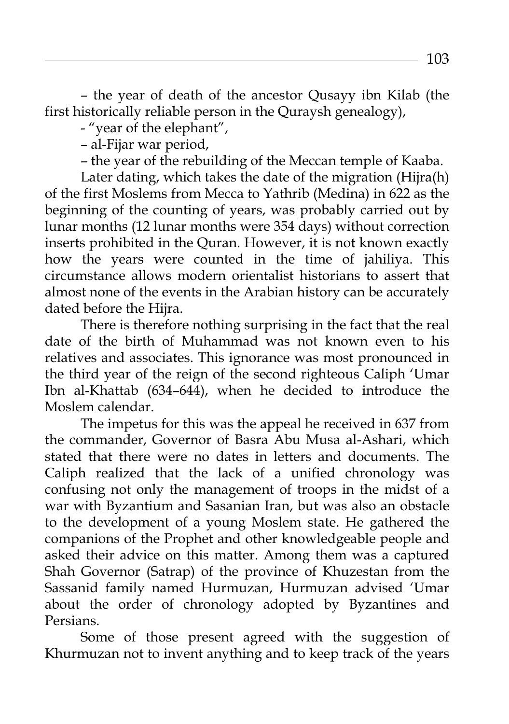– the year of death of the ancestor Qusayy ibn Kilab (the first historically reliable person in the Quraysh genealogy),

- "year of the elephant",

– al-Fijar war period,

– the year of the rebuilding of the Meccan temple of Kaaba.

Later dating, which takes the date of the migration (Hijra(h) of the first Moslems from Mecca to Yathrib (Medina) in 622 as the beginning of the counting of years, was probably carried out by lunar months (12 lunar months were 354 days) without correction inserts prohibited in the Quran. However, it is not known exactly how the years were counted in the time of jahiliya. This circumstance allows modern orientalist historians to assert that almost none of the events in the Arabian history can be accurately dated before the Hijra.

There is therefore nothing surprising in the fact that the real date of the birth of Muhammad was not known even to his relatives and associates. This ignorance was most pronounced in the third year of the reign of the second righteous Caliph 'Umar Ibn al-Khattab (634–644), when he decided to introduce the Moslem calendar.

The impetus for this was the appeal he received in 637 from the commander, Governor of Basra Abu Musa al-Ashari, which stated that there were no dates in letters and documents. The Caliph realized that the lack of a unified chronology was confusing not only the management of troops in the midst of a war with Byzantium and Sasanian Iran, but was also an obstacle to the development of a young Moslem state. He gathered the companions of the Prophet and other knowledgeable people and asked their advice on this matter. Among them was a captured Shah Governor (Satrap) of the province of Khuzestan from the Sassanid family named Hurmuzan, Hurmuzan advised 'Umar about the order of chronology adopted by Byzantines and Persians.

Some of those present agreed with the suggestion of Khurmuzan not to invent anything and to keep track of the years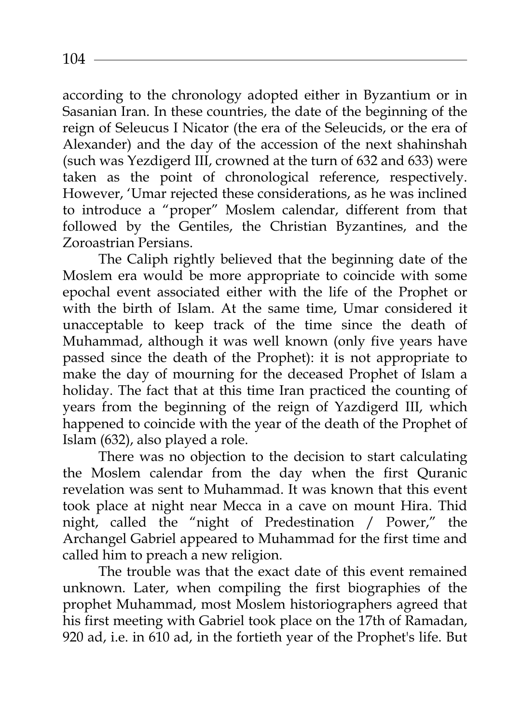according to the chronology adopted either in Byzantium or in Sasanian Iran. In these countries, the date of the beginning of the reign of Seleucus I Nicator (the era of the Seleucids, or the era of Alexander) and the day of the accession of the next shahinshah (such was Yezdigerd III, crowned at the turn of 632 and 633) were taken as the point of chronological reference, respectively. However, 'Umar rejected these considerations, as he was inclined to introduce a "proper" Moslem calendar, different from that followed by the Gentiles, the Christian Byzantines, and the Zoroastrian Persians.

The Caliph rightly believed that the beginning date of the Moslem era would be more appropriate to coincide with some epochal event associated either with the life of the Prophet or with the birth of Islam. At the same time, Umar considered it unacceptable to keep track of the time since the death of Muhammad, although it was well known (only five years have passed since the death of the Prophet): it is not appropriate to make the day of mourning for the deceased Prophet of Islam a holiday. The fact that at this time Iran practiced the counting of years from the beginning of the reign of Yazdigerd III, which happened to coincide with the year of the death of the Prophet of Islam (632), also played a role.

There was no objection to the decision to start calculating the Moslem calendar from the day when the first Quranic revelation was sent to Muhammad. It was known that this event took place at night near Mecca in a cave on mount Hira. Thid night, called the "night of Predestination / Power," the Archangel Gabriel appeared to Muhammad for the first time and called him to preach a new religion.

The trouble was that the exact date of this event remained unknown. Later, when compiling the first biographies of the prophet Muhammad, most Moslem historiographers agreed that his first meeting with Gabriel took place on the 17th of Ramadan, 920 ad, i.e. in 610 ad, in the fortieth year of the Prophet's life. But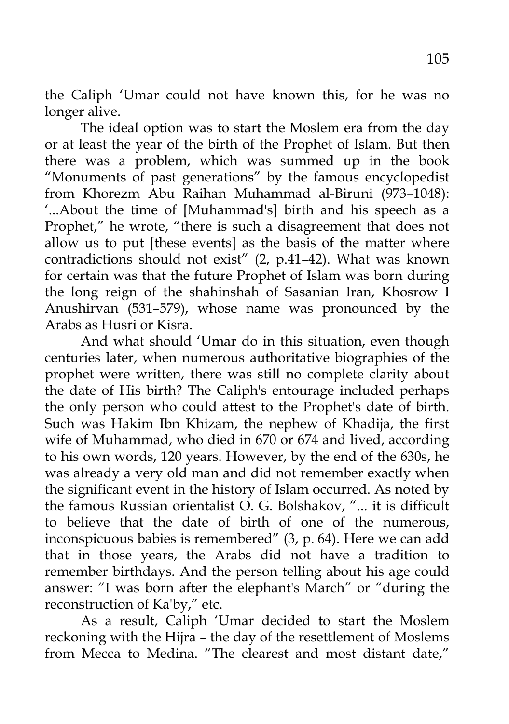the Caliph 'Umar could not have known this, for he was no longer alive.

The ideal option was to start the Moslem era from the day or at least the year of the birth of the Prophet of Islam. But then there was a problem, which was summed up in the book "Monuments of past generations" by the famous encyclopedist from Khorezm Abu Raihan Muhammad al-Biruni (973–1048): '...About the time of [Muhammad's] birth and his speech as a Prophet," he wrote, "there is such a disagreement that does not allow us to put [these events] as the basis of the matter where contradictions should not exist" (2, p.41–42). What was known for certain was that the future Prophet of Islam was born during the long reign of the shahinshah of Sasanian Iran, Khosrow I Anushirvan (531–579), whose name was pronounced by the Arabs as Husri or Kisra.

And what should 'Umar do in this situation, even though centuries later, when numerous authoritative biographies of the prophet were written, there was still no complete clarity about the date of His birth? The Caliph's entourage included perhaps the only person who could attest to the Prophet's date of birth. Such was Hakim Ibn Khizam, the nephew of Khadija, the first wife of Muhammad, who died in 670 or 674 and lived, according to his own words, 120 years. However, by the end of the 630s, he was already a very old man and did not remember exactly when the significant event in the history of Islam occurred. As noted by the famous Russian orientalist O. G. Bolshakov, "... it is difficult to believe that the date of birth of one of the numerous, inconspicuous babies is remembered" (3, p. 64). Here we can add that in those years, the Arabs did not have a tradition to remember birthdays. And the person telling about his age could answer: "I was born after the elephant's March" or "during the reconstruction of Ka'by," etc.

As a result, Caliph 'Umar decided to start the Moslem reckoning with the Hijra – the day of the resettlement of Moslems from Mecca to Medina. "The clearest and most distant date,"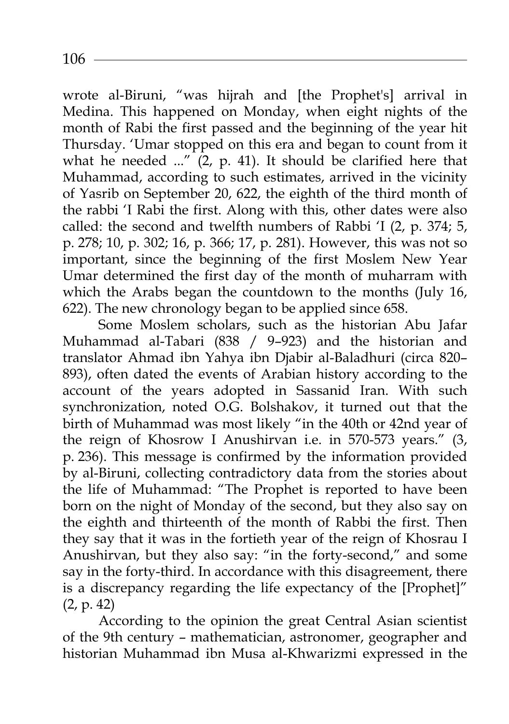2020.02.003 106

wrote al-Biruni, "was hijrah and [the Prophet's] arrival in Medina. This happened on Monday, when eight nights of the month of Rabi the first passed and the beginning of the year hit Thursday. 'Umar stopped on this era and began to count from it what he needed  $\ldots$ <sup>"</sup> (2, p. 41). It should be clarified here that Muhammad, according to such estimates, arrived in the vicinity of Yasrib on September 20, 622, the eighth of the third month of the rabbi 'I Rabi the first. Along with this, other dates were also called: the second and twelfth numbers of Rabbi 'I (2, p. 374; 5, p. 278; 10, p. 302; 16, p. 366; 17, p. 281). However, this was not so important, since the beginning of the first Moslem New Year Umar determined the first day of the month of muharram with which the Arabs began the countdown to the months (July 16, 622). The new chronology began to be applied since 658.

Some Moslem scholars, such as the historian Abu Jafar Muhammad al-Tabari (838 / 9–923) and the historian and translator Ahmad ibn Yahya ibn Djabir al-Baladhuri (circa 820– 893), often dated the events of Arabian history according to the account of the years adopted in Sassanid Iran. With such synchronization, noted O.G. Bolshakov, it turned out that the birth of Muhammad was most likely "in the 40th or 42nd year of the reign of Khosrow I Anushirvan i.e. in 570-573 years." (3, p. 236). This message is confirmed by the information provided by al-Biruni, collecting contradictory data from the stories about the life of Muhammad: "The Prophet is reported to have been born on the night of Monday of the second, but they also say on the eighth and thirteenth of the month of Rabbi the first. Then they say that it was in the fortieth year of the reign of Khosrau I Anushirvan, but they also say: "in the forty-second," and some say in the forty-third. In accordance with this disagreement, there is a discrepancy regarding the life expectancy of the [Prophet]" (2, p. 42)

According to the opinion the great Central Asian scientist of the 9th century – mathematician, astronomer, geographer and historian Muhammad ibn Musa al-Khwarizmi expressed in the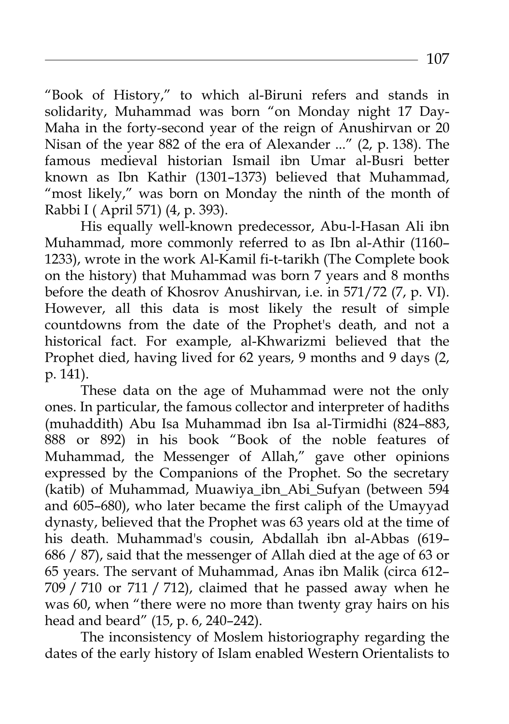"Book of History," to which al-Biruni refers and stands in solidarity, Muhammad was born "on Monday night 17 Day-Maha in the forty-second year of the reign of Anushirvan or 20 Nisan of the year 882 of the era of Alexander ..." (2, p. 138). The famous medieval historian Ismail ibn Umar al-Busri better known as Ibn Kathir (1301–1373) believed that Muhammad, "most likely," was born on Monday the ninth of the month of Rabbi I ( April 571) (4, p. 393).

His equally well-known predecessor, Abu-l-Hasan Ali ibn Muhammad, more commonly referred to as Ibn al-Athir (1160– 1233), wrote in the work Al-Kamil fi-t-tarikh (The Complete book on the history) that Muhammad was born 7 years and 8 months before the death of Khosrov Anushirvan, i.e. in 571/72 (7, p. VI). However, all this data is most likely the result of simple countdowns from the date of the Prophet's death, and not a historical fact. For example, al-Khwarizmi believed that the Prophet died, having lived for 62 years, 9 months and 9 days (2, p. 141).

These data on the age of Muhammad were not the only ones. In particular, the famous collector and interpreter of hadiths (muhaddith) Abu Isa Muhammad ibn Isa al-Tirmidhi (824–883, 888 or 892) in his book "Book of the noble features of Muhammad, the Messenger of Allah," gave other opinions expressed by the Companions of the Prophet. So the secretary (katib) of Muhammad, Muawiya\_ibn\_Abi\_Sufyan (between 594 and 605–680), who later became the first caliph of the Umayyad dynasty, believed that the Prophet was 63 years old at the time of his death. Muhammad's cousin, Abdallah ibn al-Abbas (619– 686 / 87), said that the messenger of Allah died at the age of 63 or 65 years. The servant of Muhammad, Anas ibn Malik (circa 612– 709 / 710 or 711 / 712), claimed that he passed away when he was 60, when "there were no more than twenty gray hairs on his head and beard" (15, p. 6, 240–242).

The inconsistency of Moslem historiography regarding the dates of the early history of Islam enabled Western Orientalists to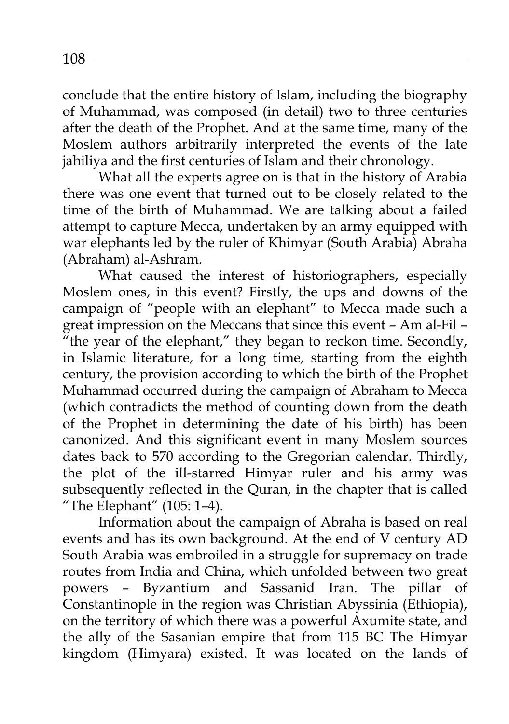conclude that the entire history of Islam, including the biography of Muhammad, was composed (in detail) two to three centuries after the death of the Prophet. And at the same time, many of the Moslem authors arbitrarily interpreted the events of the late jahiliya and the first centuries of Islam and their chronology.

What all the experts agree on is that in the history of Arabia there was one event that turned out to be closely related to the time of the birth of Muhammad. We are talking about a failed attempt to capture Mecca, undertaken by an army equipped with war elephants led by the ruler of Khimyar (South Arabia) Abraha (Abraham) al-Ashram.

What caused the interest of historiographers, especially Moslem ones, in this event? Firstly, the ups and downs of the campaign of "people with an elephant" to Mecca made such a great impression on the Meccans that since this event – Am al-Fil – <sup>"</sup>the year of the elephant," they began to reckon time. Secondly, in Islamic literature, for a long time, starting from the eighth century, the provision according to which the birth of the Prophet Muhammad occurred during the campaign of Abraham to Mecca (which contradicts the method of counting down from the death of the Prophet in determining the date of his birth) has been canonized. And this significant event in many Moslem sources dates back to 570 according to the Gregorian calendar. Thirdly, the plot of the ill-starred Himyar ruler and his army was subsequently reflected in the Quran, in the chapter that is called "The Elephant" (105: 1–4).

Information about the campaign of Abraha is based on real events and has its own background. At the end of V century AD South Arabia was embroiled in a struggle for supremacy on trade routes from India and China, which unfolded between two great powers – Byzantium and Sassanid Iran. The pillar of Constantinople in the region was Christian Abyssinia (Ethiopia), on the territory of which there was a powerful Axumite state, and the ally of the Sasanian empire that from 115 BC The Himyar kingdom (Himyara) existed. It was located on the lands of

2020.02.003 108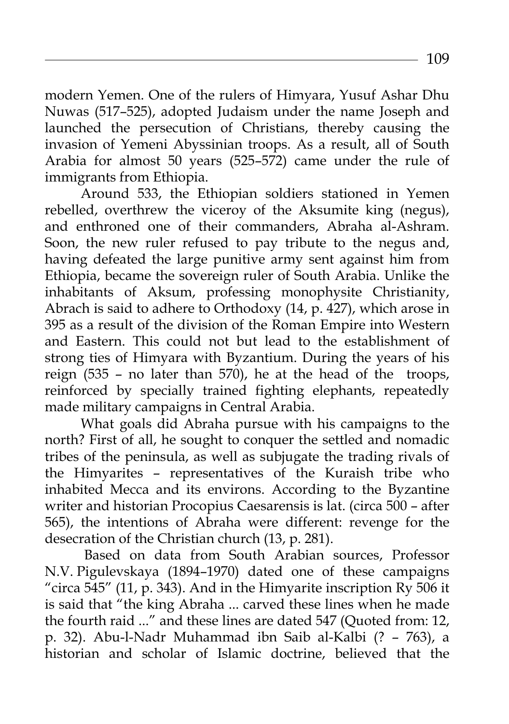modern Yemen. One of the rulers of Himyara, Yusuf Ashar Dhu Nuwas (517–525), adopted Judaism under the name Joseph and launched the persecution of Christians, thereby causing the invasion of Yemeni Abyssinian troops. As a result, all of South Arabia for almost 50 years (525–572) came under the rule of immigrants from Ethiopia.

Around 533, the Ethiopian soldiers stationed in Yemen rebelled, overthrew the viceroy of the Aksumite king (negus), and enthroned one of their commanders, Abraha al-Ashram. Soon, the new ruler refused to pay tribute to the negus and, having defeated the large punitive army sent against him from Ethiopia, became the sovereign ruler of South Arabia. Unlike the inhabitants of Aksum, professing monophysite Christianity, Abrach is said to adhere to Orthodoxy (14, p. 427), which arose in 395 as a result of the division of the Roman Empire into Western and Eastern. This could not but lead to the establishment of strong ties of Himyara with Byzantium. During the years of his reign (535 – no later than 570), he at the head of the troops, reinforced by specially trained fighting elephants, repeatedly made military campaigns in Central Arabia.

What goals did Abraha pursue with his campaigns to the north? First of all, he sought to conquer the settled and nomadic tribes of the peninsula, as well as subjugate the trading rivals of the Himyarites – representatives of the Kuraish tribe who inhabited Mecca and its environs. According to the Byzantine writer and historian Procopius Caesarensis is lat. (circa 500 – after 565), the intentions of Abraha were different: revenge for the desecration of the Christian church (13, p. 281).

 Based on data from South Arabian sources, Professor N.V. Pigulevskaya (1894–1970) dated one of these campaigns "circa 545" (11, p. 343). And in the Himyarite inscription Ry 506 it is said that "the king Abraha ... carved these lines when he made the fourth raid ..." and these lines are dated 547 (Quoted from: 12, p. 32). Abu-l-Nadr Muhammad ibn Saib al-Kalbi (? – 763), a historian and scholar of Islamic doctrine, believed that the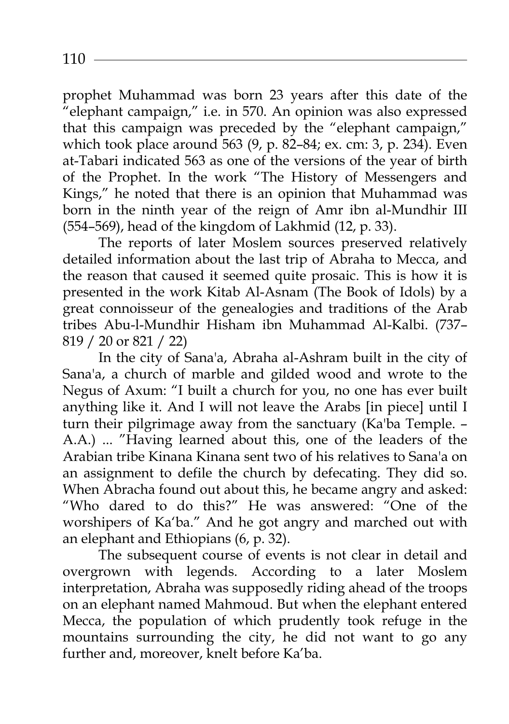prophet Muhammad was born 23 years after this date of the "elephant campaign," i.e. in 570. An opinion was also expressed that this campaign was preceded by the "elephant campaign," which took place around 563 (9, p. 82–84; ex. cm: 3, p. 234). Even at-Tabari indicated 563 as one of the versions of the year of birth of the Prophet. In the work "The History of Messengers and Kings," he noted that there is an opinion that Muhammad was born in the ninth year of the reign of Amr ibn al-Mundhir III (554–569), head of the kingdom of Lakhmid (12, p. 33).

The reports of later Moslem sources preserved relatively detailed information about the last trip of Abraha to Mecca, and the reason that caused it seemed quite prosaic. This is how it is presented in the work Kitab Al-Asnam (The Book of Idols) by a great connoisseur of the genealogies and traditions of the Arab tribes Abu-l-Mundhir Hisham ibn Muhammad Al-Kalbi. (737– 819 / 20 or 821 / 22)

In the city of Sana'a, Abraha al-Ashram built in the city of Sana'a, a church of marble and gilded wood and wrote to the Negus of Axum: "I built a church for you, no one has ever built anything like it. And I will not leave the Arabs [in piece] until I turn their pilgrimage away from the sanctuary (Ka'ba Temple. – A.A.) ... "Having learned about this, one of the leaders of the Arabian tribe Kinana Kinana sent two of his relatives to Sana'a on an assignment to defile the church by defecating. They did so. When Abracha found out about this, he became angry and asked: "Who dared to do this?" He was answered: "One of the worshipers of Ka'ba." And he got angry and marched out with an elephant and Ethiopians (6, p. 32).

The subsequent course of events is not clear in detail and overgrown with legends. According to a later Moslem interpretation, Abraha was supposedly riding ahead of the troops on an elephant named Mahmoud. But when the elephant entered Mecca, the population of which prudently took refuge in the mountains surrounding the city, he did not want to go any further and, moreover, knelt before Ka'ba.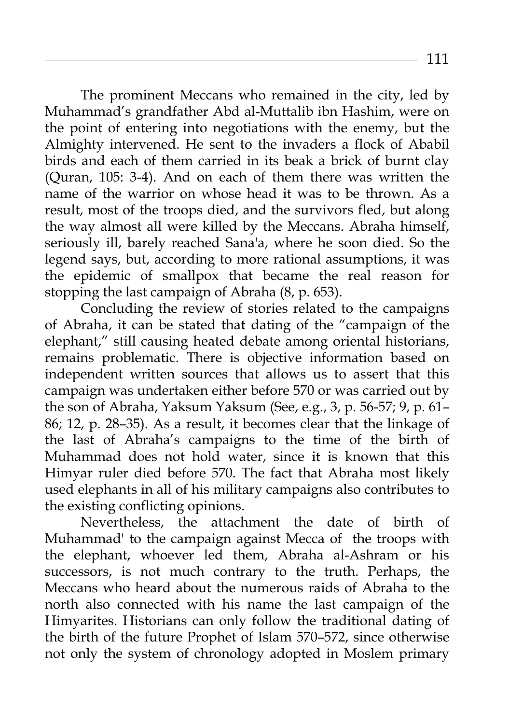The prominent Meccans who remained in the city, led by Muhammad's grandfather Abd al-Muttalib ibn Hashim, were on the point of entering into negotiations with the enemy, but the Almighty intervened. He sent to the invaders a flock of Ababil birds and each of them carried in its beak a brick of burnt clay (Quran, 105: 3-4). And on each of them there was written the name of the warrior on whose head it was to be thrown. As a result, most of the troops died, and the survivors fled, but along the way almost all were killed by the Meccans. Abraha himself, seriously ill, barely reached Sana'a, where he soon died. So the legend says, but, according to more rational assumptions, it was the epidemic of smallpox that became the real reason for stopping the last campaign of Abraha (8, p. 653).

Concluding the review of stories related to the campaigns of Abraha, it can be stated that dating of the "campaign of the elephant," still causing heated debate among oriental historians, remains problematic. There is objective information based on independent written sources that allows us to assert that this campaign was undertaken either before 570 or was carried out by the son of Abraha, Yaksum Yaksum (See, e.g., 3, p. 56-57; 9, p. 61– 86; 12, p. 28–35). As a result, it becomes clear that the linkage of the last of Abraha's campaigns to the time of the birth of Muhammad does not hold water, since it is known that this Himyar ruler died before 570. The fact that Abraha most likely used elephants in all of his military campaigns also contributes to the existing conflicting opinions.

Nevertheless, the attachment the date of birth of Muhammad' to the campaign against Mecca of the troops with the elephant, whoever led them, Abraha al-Ashram or his successors, is not much contrary to the truth. Perhaps, the Meccans who heard about the numerous raids of Abraha to the north also connected with his name the last campaign of the Himyarites. Historians can only follow the traditional dating of the birth of the future Prophet of Islam 570–572, since otherwise not only the system of chronology adopted in Moslem primary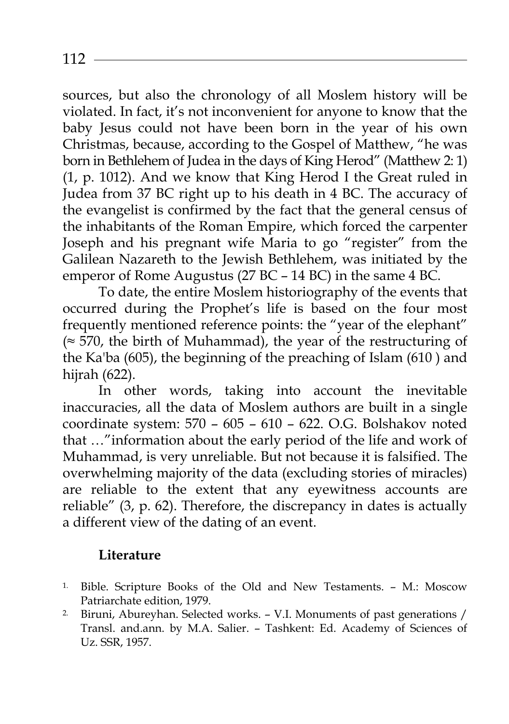sources, but also the chronology of all Moslem history will be violated. In fact, it's not inconvenient for anyone to know that the baby Jesus could not have been born in the year of his own Christmas, because, according to the Gospel of Matthew, "he was born in Bethlehem of Judea in the days of King Herod" (Matthew 2: 1) (1, p. 1012). And we know that King Herod I the Great ruled in Judea from 37 BC right up to his death in 4 BC. The accuracy of the evangelist is confirmed by the fact that the general census of the inhabitants of the Roman Empire, which forced the carpenter Joseph and his pregnant wife Maria to go "register" from the Galilean Nazareth to the Jewish Bethlehem, was initiated by the emperor of Rome Augustus (27 BC – 14 BC) in the same 4 BC.

To date, the entire Moslem historiography of the events that occurred during the Prophet's life is based on the four most frequently mentioned reference points: the "year of the elephant" (≈ 570, the birth of Muhammad), the year of the restructuring of the Ka'ba (605), the beginning of the preaching of Islam (610 ) and hijrah (622).

In other words, taking into account the inevitable inaccuracies, all the data of Moslem authors are built in a single coordinate system: 570 – 605 – 610 – 622. O.G. Bolshakov noted that …"information about the early period of the life and work of Muhammad, is very unreliable. But not because it is falsified. The overwhelming majority of the data (excluding stories of miracles) are reliable to the extent that any eyewitness accounts are reliable" (3, p. 62). Therefore, the discrepancy in dates is actually a different view of the dating of an event.

## **Literature**

- 1. Bible. Scripture Books of the Old and New Testaments. M.: Moscow
- Patriarchate edition, 1979.<br><sup>2.</sup> Biruni, Abureyhan. Selected works. V.I. Monuments of past generations / Transl. and.ann. by M.A. Salier. – Tashkent: Ed. Academy of Sciences of Uz. SSR, 1957.